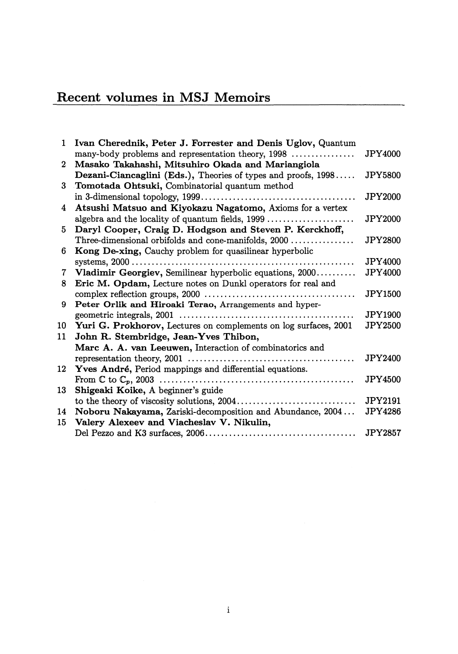## Recent volumes in MSJ Memoirs

| $\mathbf{1}$ | Ivan Cherednik, Peter J. Forrester and Denis Uglov, Quantum      |                |
|--------------|------------------------------------------------------------------|----------------|
|              | many-body problems and representation theory, 1998               | <b>JPY4000</b> |
| $\mathbf{2}$ | Masako Takahashi, Mitsuhiro Okada and Mariangiola                |                |
|              | Dezani-Ciancaglini (Eds.), Theories of types and proofs, 1998    | <b>JPY5800</b> |
| 3            | Tomotada Ohtsuki, Combinatorial quantum method                   |                |
|              |                                                                  | <b>JPY2000</b> |
| 4            | Atsushi Matsuo and Kiyokazu Nagatomo, Axioms for a vertex        |                |
|              |                                                                  | <b>JPY2000</b> |
| 5.           | Daryl Cooper, Craig D. Hodgson and Steven P. Kerckhoff,          |                |
|              | Three-dimensional orbifolds and cone-manifolds, 2000             | <b>JPY2800</b> |
| 6            | Kong De-xing, Cauchy problem for quasilinear hyperbolic          |                |
|              |                                                                  | JPY4000        |
| 7            | Vladimir Georgiev, Semilinear hyperbolic equations, 2000         | <b>JPY4000</b> |
| 8            | Eric M. Opdam, Lecture notes on Dunkl operators for real and     |                |
|              |                                                                  | <b>JPY1500</b> |
| 9            | Peter Orlik and Hiroaki Terao, Arrangements and hyper-           |                |
|              |                                                                  | <b>JPY1900</b> |
| 10           | Yuri G. Prokhorov, Lectures on complements on log surfaces, 2001 | JPY2500        |
| 11           | John R. Stembridge, Jean-Yves Thibon,                            |                |
|              | Marc A. A. van Leeuwen, Interaction of combinatorics and         |                |
|              |                                                                  | <b>JPY2400</b> |
| 12           | Yves André, Period mappings and differential equations.          |                |
|              |                                                                  | <b>JPY4500</b> |
| 13           | Shigeaki Koike, A beginner's guide                               |                |
|              |                                                                  | JPY2191        |
| 14           | Noboru Nakayama, Zariski-decomposition and Abundance, 2004       | <b>JPY4286</b> |
| 15           | Valery Alexeev and Viacheslav V. Nikulin,                        |                |
|              |                                                                  | <b>JPY2857</b> |
|              |                                                                  |                |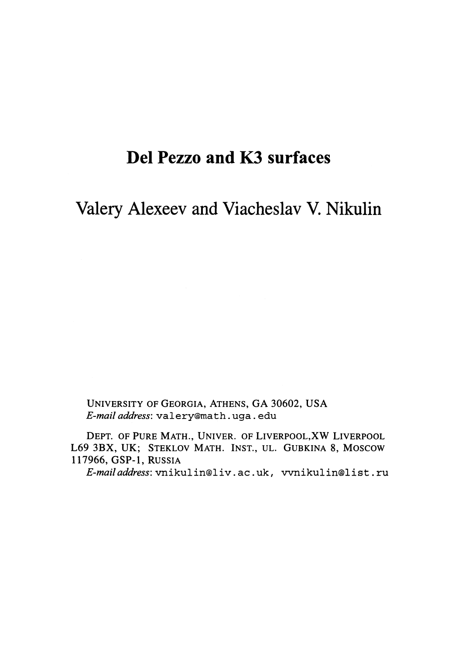## Del Pezzo and K3 surfaces

Valery Alexeev and Viacheslav V. Nikulin

UNIVERSITY OF GEORGIA, ATHENS, GA 30602, USA E-mail address: valery@math.uga. edu

DEPT. OF PURE MATH., UNIVER. OF LIVERPOOL,XW LIVERPOOL L69 3BX, UK; STEKLOV MATH. INST., UL. GUBKINA 8, Moscow 117966, GSP-I, RUSSIA

E-mail address: vnikulin@liv. ac. uk, vvnikulin@list. ru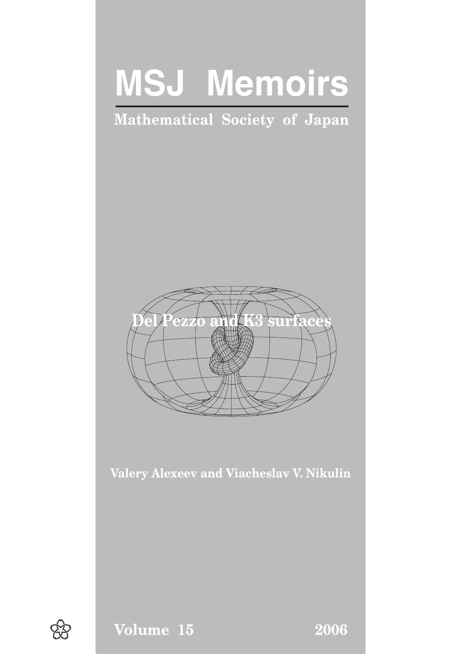# **MSJ Memoirs**

# Mathematical Society of Japan



Valery Alexeev and Viacheslav V. Nikulin



Volume 15 2006